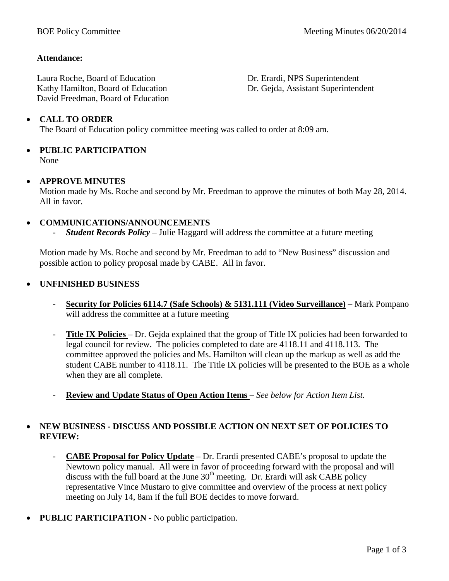## **Attendance:**

Laura Roche, Board of Education Kathy Hamilton, Board of Education David Freedman, Board of Education Dr. Erardi, NPS Superintendent Dr. Gejda, Assistant Superintendent

## • **CALL TO ORDER**

The Board of Education policy committee meeting was called to order at 8:09 am.

#### • **PUBLIC PARTICIPATION** None

#### • **APPROVE MINUTES**

Motion made by Ms. Roche and second by Mr. Freedman to approve the minutes of both May 28, 2014. All in favor.

#### • **COMMUNICATIONS/ANNOUNCEMENTS**

- *Student Records Policy* – Julie Haggard will address the committee at a future meeting

Motion made by Ms. Roche and second by Mr. Freedman to add to "New Business" discussion and possible action to policy proposal made by CABE. All in favor.

#### • **UNFINISHED BUSINESS**

- **Security for Policies 6114.7 (Safe Schools) & 5131.111 (Video Surveillance)** Mark Pompano will address the committee at a future meeting
- **Title IX Policies** *–* Dr. Gejda explained that the group of Title IX policies had been forwarded to legal council for review. The policies completed to date are 4118.11 and 4118.113. The committee approved the policies and Ms. Hamilton will clean up the markup as well as add the student CABE number to 4118.11. The Title IX policies will be presented to the BOE as a whole when they are all complete.
- **Review and Update Status of Open Action Items** *– See below for Action Item List.*

## • **NEW BUSINESS - DISCUSS AND POSSIBLE ACTION ON NEXT SET OF POLICIES TO REVIEW:**

- **CABE Proposal for Policy Update** Dr. Erardi presented CABE's proposal to update the Newtown policy manual. All were in favor of proceeding forward with the proposal and will discuss with the full board at the June  $30<sup>th</sup>$  meeting. Dr. Erardi will ask CABE policy representative Vince Mustaro to give committee and overview of the process at next policy meeting on July 14, 8am if the full BOE decides to move forward.
- **PUBLIC PARTICIPATION -** No public participation.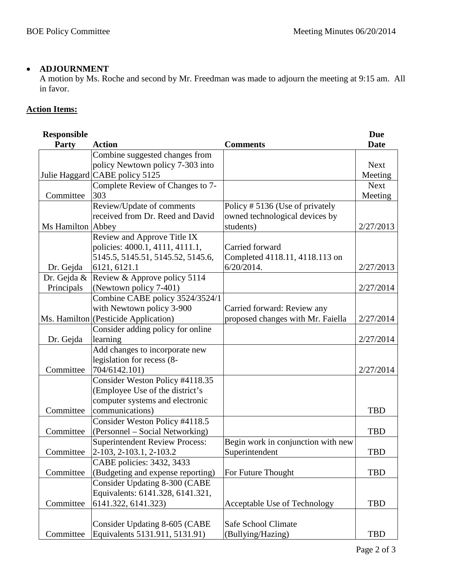## • **ADJOURNMENT**

A motion by Ms. Roche and second by Mr. Freedman was made to adjourn the meeting at 9:15 am. All in favor.

# **Action Items:**

| <b>Responsible</b> |                                       |                                    | <b>Due</b>  |
|--------------------|---------------------------------------|------------------------------------|-------------|
| <b>Party</b>       | <b>Action</b>                         | <b>Comments</b>                    | <b>Date</b> |
|                    | Combine suggested changes from        |                                    |             |
|                    | policy Newtown policy 7-303 into      |                                    | <b>Next</b> |
|                    | Julie Haggard CABE policy 5125        |                                    | Meeting     |
|                    | Complete Review of Changes to 7-      |                                    | <b>Next</b> |
| Committee          | 303                                   |                                    | Meeting     |
|                    | Review/Update of comments             | Policy #5136 (Use of privately     |             |
|                    | received from Dr. Reed and David      | owned technological devices by     |             |
| Ms Hamilton Abbey  |                                       | students)                          | 2/27/2013   |
|                    | Review and Approve Title IX           |                                    |             |
|                    | policies: 4000.1, 4111, 4111.1,       | Carried forward                    |             |
|                    | 5145.5, 5145.51, 5145.52, 5145.6,     | Completed 4118.11, 4118.113 on     |             |
| Dr. Gejda          | 6121, 6121.1                          | $6/20/2014$ .                      | 2/27/2013   |
| Dr. Gejda &        | Review & Approve policy 5114          |                                    |             |
| Principals         | (Newtown policy 7-401)                |                                    | 2/27/2014   |
|                    | Combine CABE policy 3524/3524/1       |                                    |             |
|                    | with Newtown policy 3-900             | Carried forward: Review any        |             |
|                    | Ms. Hamilton (Pesticide Application)  | proposed changes with Mr. Faiella  | 2/27/2014   |
|                    | Consider adding policy for online     |                                    |             |
| Dr. Gejda          | learning                              |                                    | 2/27/2014   |
|                    | Add changes to incorporate new        |                                    |             |
|                    | legislation for recess (8-            |                                    |             |
| Committee          | 704/6142.101)                         |                                    | 2/27/2014   |
|                    | Consider Weston Policy #4118.35       |                                    |             |
|                    | (Employee Use of the district's       |                                    |             |
|                    | computer systems and electronic       |                                    |             |
| Committee          | communications)                       |                                    | <b>TBD</b>  |
|                    | Consider Weston Policy #4118.5        |                                    |             |
| Committee          | (Personnel - Social Networking)       |                                    | <b>TBD</b>  |
|                    | <b>Superintendent Review Process:</b> | Begin work in conjunction with new |             |
| Committee          | 2-103, 2-103.1, 2-103.2               | Superintendent                     | <b>TBD</b>  |
|                    | CABE policies: 3432, 3433             |                                    |             |
| Committee          | (Budgeting and expense reporting)     | For Future Thought                 | <b>TBD</b>  |
|                    | Consider Updating 8-300 (CABE         |                                    |             |
|                    | Equivalents: 6141.328, 6141.321,      |                                    |             |
| Committee          | 6141.322, 6141.323)                   | Acceptable Use of Technology       | <b>TBD</b>  |
|                    |                                       |                                    |             |
|                    | Consider Updating 8-605 (CABE         | <b>Safe School Climate</b>         |             |
| Committee          | Equivalents 5131.911, 5131.91)        | (Bullying/Hazing)                  | <b>TBD</b>  |